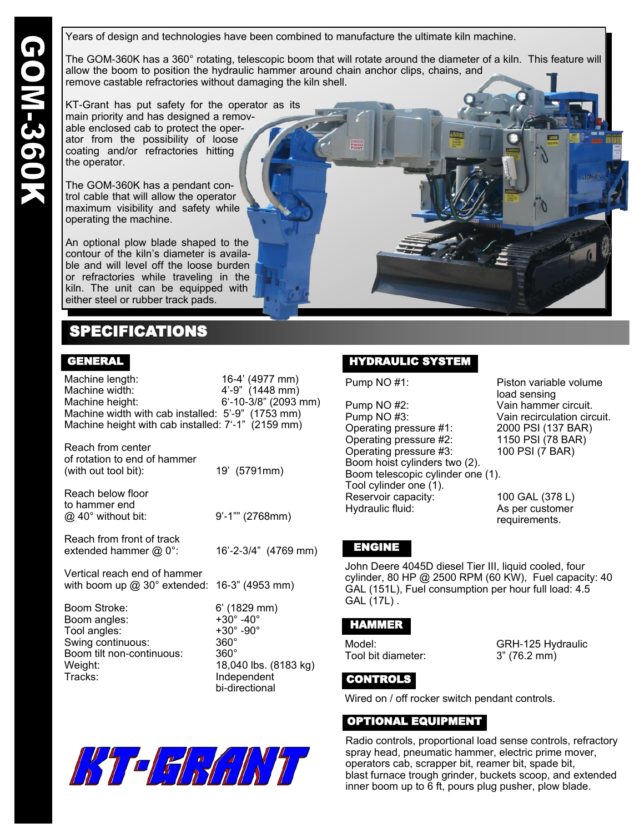Years of design and technologies have been combined to manufacture the ultimate kiln machine.

The GOM-360K has a 360° rotating, telescopic boom that will rotate around the diameter of a kiln. This feature will allow the boom to position the hydraulic hammer around chain anchor clips, chains, and remove castable refractories without damaging the kiln shell.

KT-Grant has put safety for the operator as its main priority and has designed a removable enclosed cab to protect the operator from the possibility of loose coating and/or refractories hitting the operator.

The GOM-360K has a pendant control cable that will allow the operator maximum visibility and safety while operating the machine.

An optional plow blade shaped to the contour of the kiln's diameter is available and will level off the loose burden or refractories while traveling in the kiln. The unit can be equipped with either steel or rubber track pads.

## SPECIFICATIONS

#### GENERAL

Machine length: 16-4' (4977 mm) Machine width: 4'-9" (1448 mm) Machine height: 6'-10-3/8" (2093 mm) Machine width with cab installed: 5'-9" (1753 mm) Machine height with cab installed: 7'-1" (2159 mm)

| Reach from center<br>of rotation to end of hammer<br>(with out tool bit): | 19' (5791mm)          |
|---------------------------------------------------------------------------|-----------------------|
| Reach below floor<br>to hammer end<br>$@$ 40° without bit:                | $9' - 1''''$ (2768mm) |

Reach from front of track extended hammer @ 0°: 16'-2-3/4" (4769 mm)

Vertical reach end of hammer with boom up  $@30°$  extended: 16-3" (4953 mm)

Boom Stroke: 6' (1829 mm) Boom angles:  $+30^{\circ}$  -40°<br>Tool angles:  $+30^{\circ}$  -90° Tool angles: Swing continuous: 360°<br>Boom tilt non-continuous: 360° Boom tilt non-continuous: Weight: 18,040 lbs. (8183 kg) Tracks: Independent

bi-directional



Pump NO #2: Vain hammer circuit. Pump NO #3: Vain recirculation circuit. Operating pressure #1: 2000 PSI (137 BAR) Operating pressure #2: 1150 PSI (78 BAR) Operating pressure #3: 100 PSI (7 BAR) Boom hoist cylinders two (2). Boom telescopic cylinder one (1). Tool cylinder one (1). Reservoir capacity: 100 GAL (378 L)<br>Hydraulic fluid: 11 As per customer

Pump NO #1: Piston variable volume load sensing

> As per customer requirements.

#### ENGINE

John Deere 4045D diesel Tier III, liquid cooled, four cylinder, 80 HP @ 2500 RPM (60 KW), Fuel capacity: 40 GAL (151L), Fuel consumption per hour full load: 4.5 GAL (17L) .

### HAMMER

Tool bit diameter: 3" (76.2 mm)

Model: GRH-125 Hydraulic

### CONTROLS

Wired on / off rocker switch pendant controls.

### OPTIONAL EQUIPMENT

Radio controls, proportional load sense controls, refractory spray head, pneumatic hammer, electric prime mover, operators cab, scrapper bit, reamer bit, spade bit, blast furnace trough grinder, buckets scoop, and extended inner boom up to 6 ft, pours plug pusher, plow blade.